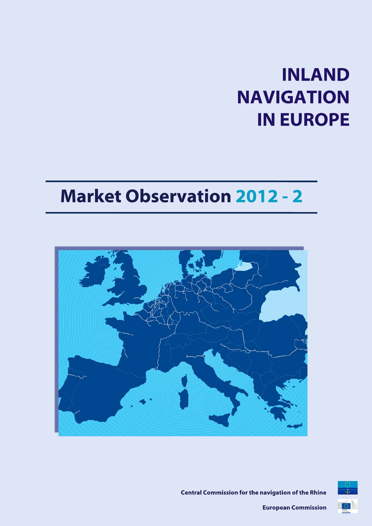# **INLAND NAVIGATION IN EUROPE**

# **Market Observation 2012 - 2**





**Central Commission for the navigation of the Rhine** 

**European Commission**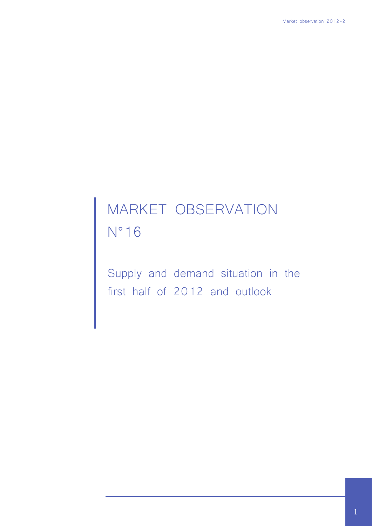# MARKET OBSERVATION N°16

Supply and demand situation in the first half of 2012 and outlook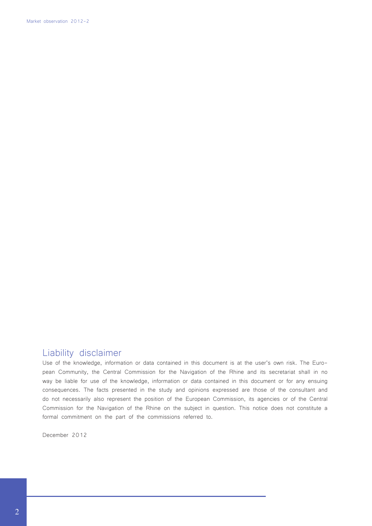Market observation 2012-2

# Liability disclaimer

Use of the knowledge, information or data contained in this document is at the user's own risk. The European Community, the Central Commission for the Navigation of the Rhine and its secretariat shall in no way be liable for use of the knowledge, information or data contained in this document or for any ensuing consequences. The facts presented in the study and opinions expressed are those of the consultant and do not necessarily also represent the position of the European Commission, its agencies or of the Central Commission for the Navigation of the Rhine on the subject in question. This notice does not constitute a formal commitment on the part of the commissions referred to.

December 2012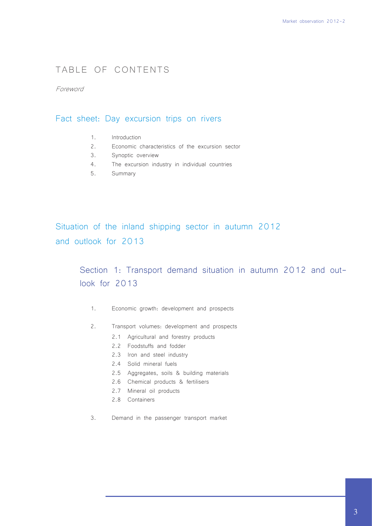# TABLE OF CONTENTS

Foreword

### Fact sheet: Day excursion trips on rivers

- 1. Introduction
- 2. Economic characteristics of the excursion sector
- 3. Synoptic overview
- 4. The excursion industry in individual countries
- 5. Summary

Situation of the inland shipping sector in autumn 2012 and outlook for 2013

# Section 1: Transport demand situation in autumn 2012 and outlook for 2013

- 1. Economic growth: development and prospects
- 2. Transport volumes: development and prospects
	- 2.1 Agricultural and forestry products
	- 2.2 Foodstuffs and fodder
	- 2.3 Iron and steel industry
	- 2.4 Solid mineral fuels
	- 2.5 Aggregates, soils & building materials
	- 2.6 Chemical products & fertilisers
	- 2.7 Mineral oil products
	- 2.8 Containers
- 3. Demand in the passenger transport market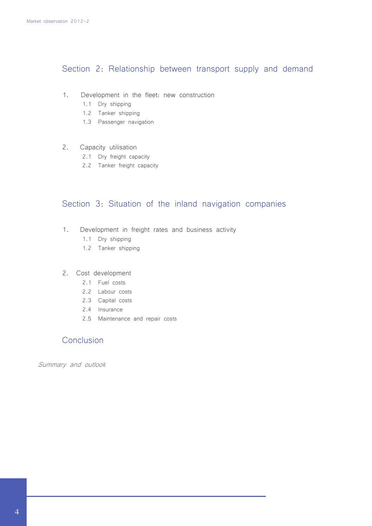# Section 2: Relationship between transport supply and demand

- 1. Development in the fleet: new construction
	- 1.1 Dry shipping
	- 1.2 Tanker shipping
	- 1.3 Passenger navigation
- 2. Capacity utilisation
	- 2.1 Dry freight capacity
	- 2.2 Tanker freight capacity

# Section 3: Situation of the inland navigation companies

- 1. Development in freight rates and business activity
	- 1.1 Dry shipping
	- 1.2 Tanker shipping

#### 2. Cost development

- 2.1 Fuel costs
- 2.2 Labour costs
- 2.3 Capital costs
- 2.4 Insurance
- 2.5 Maintenance and repair costs

# Conclusion

Summary and outlook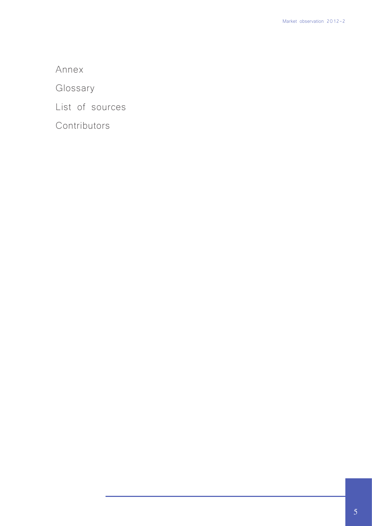Annex

Glossary

List of sources

**Contributors**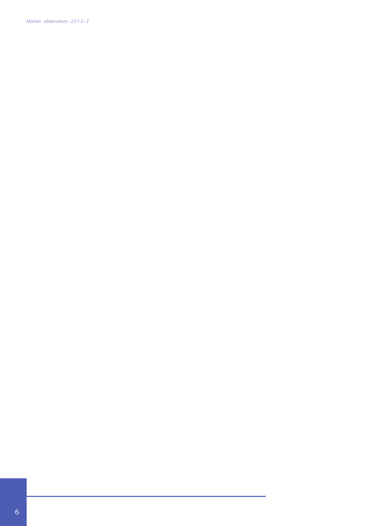Market observation 2012-2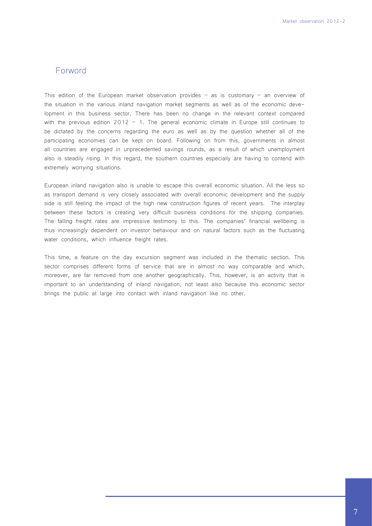## Forword

This edition of the European market observation provides  $-$  as is customary  $-$  an overview of the situation in the various inland navigation market segments as well as of the economic development in this business sector. There has been no change in the relevant context compared with the previous edition  $2012 - 1$ . The general economic climate in Europe still continues to be dictated by the concerns regarding the euro as well as by the question whether all of the participating economies can be kept on board. Following on from this, governments in almost all countries are engaged in unprecedented savings rounds, as a result of which unemployment also is steadily rising. In this regard, the southern countries especially are having to contend with extremely worrying situations.

European inland navigation also is unable to escape this overall economic situation. All the less so as transport demand is very closely associated with overall economic development and the supply side is still feeling the impact of the high new construction figures of recent years. The interplay between these factors is creating very difficult business conditions for the shipping companies. The falling freight rates are impressive testimony to this. The companies' financial wellbeing is thus increasingly dependent on investor behaviour and on natural factors such as the fluctuating water conditions, which influence freight rates.

This time, a feature on the day excursion segment was included in the thematic section. This sector comprises different forms of service that are in almost no way comparable and which, moreover, are far removed from one another geographically. This, however, is an activity that is important to an understanding of inland navigation, not least also because this economic sector brings the public at large into contact with inland navigation like no other.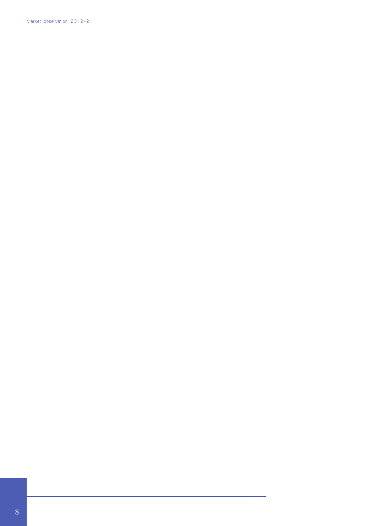Market observation 2012-2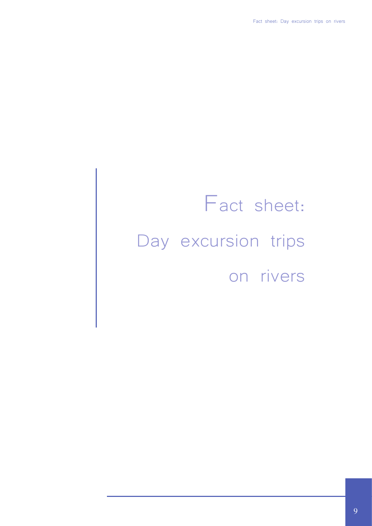# Fact sheet: Day excursion trips on rivers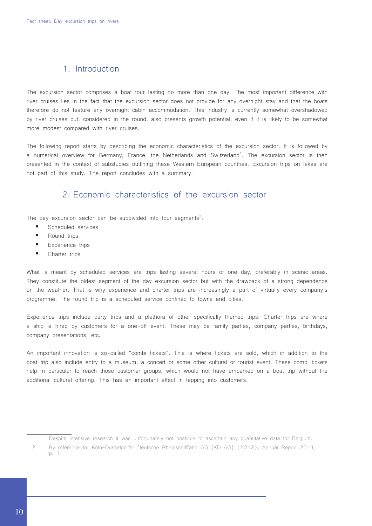# 1. Introduction

The excursion sector comprises a boat tour lasting no more than one day. The most important difference with river cruises lies in the fact that the excursion sector does not provide for any overnight stay and that the boats therefore do not feature any overnight cabin accommodation. This industry is currently somewhat overshadowed by river cruises but, considered in the round, also presents growth potential, even if it is likely to be somewhat more modest compared with river cruises.

The following report starts by describing the economic characteristics of the excursion sector. It is followed by a numerical overview for Germany, France, the Netherlands and Switzerland<sup>1</sup>. The excursion sector is then presented in the context of substudies outlining these Western European countries. Excursion trips on lakes are not part of this study. The report concludes with a summary.

# 2. Economic characteristics of the excursion sector

The day excursion sector can be subdivided into four segments<sup>2</sup>:

- **Scheduled services**
- Round trips
- **Experience trips**
- **Charter trips**

What is meant by scheduled services are trips lasting several hours or one day, preferably in scenic areas. They constitute the oldest segment of the day excursion sector but with the drawback of a strong dependence on the weather. That is why experience and charter trips are increasingly a part of virtually every company's programme. The round trip is a scheduled service confined to towns and cities.

Experience trips include party trips and a plethora of other specifically themed trips. Charter trips are where a ship is hired by customers for a one-off event. These may be family parties, company parties, birthdays, company presentations, etc.

An important innovation is so-called "combi tickets". This is where tickets are sold, which in addition to the boat trip also include entry to a museum, a concert or some other cultural or tourist event. These combi tickets help in particular to reach those customer groups, which would not have embarked on a boat trip without the additional cultural offering. This has an important effect in tapping into customers.

Despite intensive research it was unfortunately not possible to ascertain any quantitative data for Belgium.

<sup>2</sup> By reference to: Köln-Düsseldorfer Deutsche Rheinschifffahrt AG [KD AG] (2012), Annual Report 2011,

p. 1.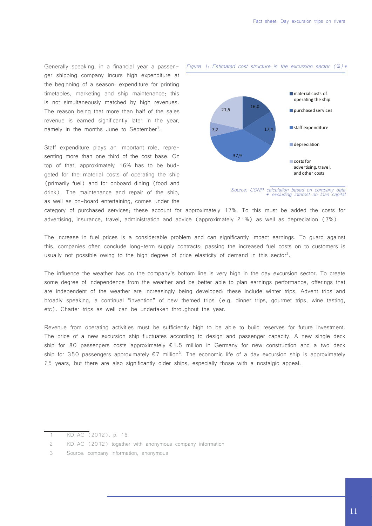Generally speaking, in a financial year a passenger shipping company incurs high expenditure at the beginning of a season: expenditure for printing timetables, marketing and ship maintenance; this is not simultaneously matched by high revenues. The reason being that more than half of the sales revenue is earned significantly later in the year, namely in the months June to September<sup>1</sup>.

Staff expenditure plays an important role, representing more than one third of the cost base. On top of that, approximately 16% has to be budgeted for the material costs of operating the ship (primarily fuel) and for onboard dining (food and drink). The maintenance and repair of the ship, as well as on-board entertaining, comes under the



Figure 1: Estimated cost structure in the excursion sector  $(%)$ \*

Source: CCNR calculation based on company data \* excluding interest on loan capital

category of purchased services; these account for approximately 17%. To this must be added the costs for advertising, insurance, travel, administration and advice (approximately 21%) as well as depreciation (7%).

The increase in fuel prices is a considerable problem and can significantly impact earnings. To guard against this, companies often conclude long-term supply contracts; passing the increased fuel costs on to customers is usually not possible owing to the high degree of price elasticity of demand in this sector<sup>2</sup>.

The influence the weather has on the company's bottom line is very high in the day excursion sector. To create some degree of independence from the weather and be better able to plan earnings performance, offerings that are independent of the weather are increasingly being developed: these include winter trips, Advent trips and broadly speaking, a continual "invention" of new themed trips (e.g. dinner trips, gourmet trips, wine tasting, etc). Charter trips as well can be undertaken throughout the year.

Revenue from operating activities must be sufficiently high to be able to build reserves for future investment. The price of a new excursion ship fluctuates according to design and passenger capacity. A new single deck ship for 80 passengers costs approximately  $£1.5$  million in Germany for new construction and a two deck ship for 350 passengers approximately €7 million<sup>3</sup>. The economic life of a day excursion ship is approximately 25 years, but there are also significantly older ships, especially those with a nostalgic appeal.

<sup>1</sup> KD AG (2012), p. 16

<sup>2</sup> KD AG (2012) together with anonymous company information

<sup>3</sup> Source: company information, anonymous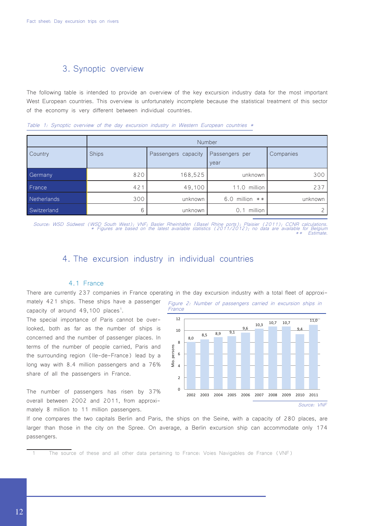# 3. Synoptic overview

The following table is intended to provide an overview of the key excursion industry data for the most important West European countries. This overview is unfortunately incomplete because the statistical treatment of this sector of the economy is very different between individual countries.

Table 1: Synoptic overview of the day excursion industry in Western European countries  $*$ 

|             | Number       |                     |                  |           |  |  |  |  |  |  |  |
|-------------|--------------|---------------------|------------------|-----------|--|--|--|--|--|--|--|
| Country     | <b>Ships</b> | Passengers capacity | Passengers per   | Companies |  |  |  |  |  |  |  |
|             |              |                     | year             |           |  |  |  |  |  |  |  |
| Germany     | 820          | 168,525             | unknown          | 300       |  |  |  |  |  |  |  |
| France      | 421          | 49,100              | 11.0 million     | 237       |  |  |  |  |  |  |  |
| Netherlands | 300          | unknown             | 6.0 million $**$ | unknown   |  |  |  |  |  |  |  |
| Switzerland | 6            | unknown             | million<br>0     |           |  |  |  |  |  |  |  |

.Source: WSD Südwest (WSD South West); VNF; Basler Rheinhäfen (Basel Rhine ports); Plaisier (2011); CCNR calculations<br>Figures are based on the latest available statistics (2011/2012); no data are available : \* Feligium<br>.\*\*

# 4. The excursion industry in individual countries

#### 4.1 France

There are currently 237 companies in France operating in the day excursion industry with a total fleet of approximately 421 ships. These ships have a passenger

capacity of around  $49,100$  places<sup>1</sup>. The special importance of Paris cannot be overlooked, both as far as the number of ships is concerned and the number of passenger places. In terms of the number of people carried, Paris and the surrounding region (Ile-de-France) lead by a long way with 8.4 million passengers and a 76% share of all the passengers in France.

The number of passengers has risen by 37% overall between 2002 and 2011, from approximately 8 million to 11 million passengers.

Figure 2: Number of passengers carried in excursion ships in France



If one compares the two capitals Berlin and Paris, the ships on the Seine, with a capacity of 280 places, are larger than those in the city on the Spree. On average, a Berlin excursion ship can accommodate only 174 passengers.

1 The source of these and all other data pertaining to France: Voies Navigables de France (VNF)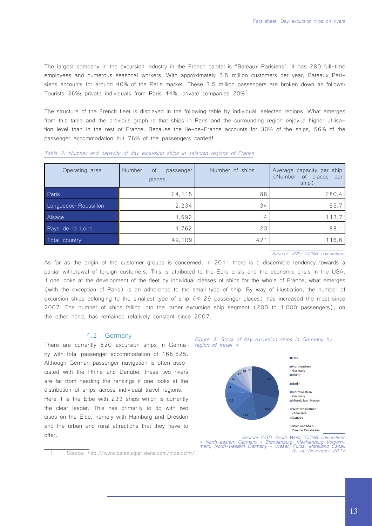The largest company in the excursion industry in the French capital is "Bateaux Parisiens". It has 280 full-time employees and numerous seasonal workers. With approximately 3.5 million customers per year, Bateaux Parisiens accounts for around 40% of the Paris market. These 3.5 million passengers are broken down as follows: Tourists 36%; private individuals from Paris 44%, private companies 20%<sup>1</sup>.

The structure of the French fleet is displayed in the following table by individual, selected regions. What emerges from this table and the previous graph is that ships in Paris and the surrounding region enjoy a higher utilisation level than in the rest of France. Because the Ile-de-France accounts for 30% of the ships, 56% of the passenger accommodation but 76% of the passengers carried!

| Operating area       | Number<br><b>of</b><br>passenger<br>places | Number of ships | Average capacity per ship<br>(Number of places<br>per  <br>ship) |  |
|----------------------|--------------------------------------------|-----------------|------------------------------------------------------------------|--|
| Paris                | 24,115                                     | 86              | 280,4                                                            |  |
| Languedoc-Roussillon | 2,234                                      | 34              | 65,7                                                             |  |
| Alsace               | 1,592                                      | 14              | 113,7                                                            |  |
| Pays de la Loire     | 1,762                                      | 20              | 88,1                                                             |  |
| Total country        | 49,109                                     | 421             | 116,6                                                            |  |

#### Table 2: Number and capacity of day excursion ships in selected regions of France

#### Source: VNF; CCNR calculations

As far as the origin of the customer groups is concerned, in 2011 there is a discernible tendency towards a partial withdrawal of foreign customers. This is attributed to the Euro crisis and the economic crisis in the USA. If one looks at the development of the fleet by individual classes of ships for the whole of France, what emerges (with the exception of Paris) is an adherence to the small type of ship. By way of illustration, the number of excursion ships belonging to the smallest type of ship (< 29 passenger places) has increased the most since 2007. The number of ships falling into the larger excursion ship segment (200 to 1,000 passengers), on the other hand, has remained relatively constant since 2007.

#### 4.2 Germany

There are currently 820 excursion ships in Germany with total passenger accommodation of 168,525. Although German passenger navigation is often associated with the Rhine and Danube, these two rivers are far from heading the rankings if one looks at the distribution of ships across individual travel regions. Here it is the Elbe with 233 ships which is currently the clear leader. This has primarily to do with two cities on the Elbe, namely with Hamburg and Dresden and the urban and rural attractions that they have to offer.



Figure 3: Stock of day excursion ships in Germany by

1 Source: http://www.bateauxparisiens.com/index.cfm/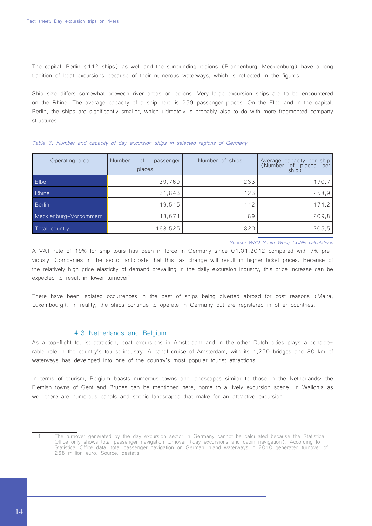The capital, Berlin (112 ships) as well and the surrounding regions (Brandenburg, Mecklenburg) have a long tradition of boat excursions because of their numerous waterways, which is reflected in the figures.

Ship size differs somewhat between river areas or regions. Very large excursion ships are to be encountered on the Rhine. The average capacity of a ship here is 259 passenger places. On the Elbe and in the capital, Berlin, the ships are significantly smaller, which ultimately is probably also to do with more fragmented company structures.

| Operating area         | Number<br>0f<br>passenger<br>places | Number of ships | Average capacity per ship<br>of<br>(Number<br>places<br>per<br>ship |
|------------------------|-------------------------------------|-----------------|---------------------------------------------------------------------|
| Elbe                   | 39,769                              | 233             | 170,7                                                               |
| Rhine                  | 31,843                              | 123             | 258,9                                                               |
| <b>Berlin</b>          | 19,515                              | 112             | 174,2                                                               |
| Mecklenburg-Vorpommern | 18,671                              | 89              | 209,8                                                               |
| Total country          | 168,525                             | 820             | 205,5                                                               |

#### Table 3: Number and capacity of day excursion ships in selected regions of Germany

#### Source: WSD South West; CCNR calculations

A VAT rate of 19% for ship tours has been in force in Germany since 01.01.2012 compared with 7% previously. Companies in the sector anticipate that this tax change will result in higher ticket prices. Because of the relatively high price elasticity of demand prevailing in the daily excursion industry, this price increase can be expected to result in lower turnover $1$ .

There have been isolated occurrences in the past of ships being diverted abroad for cost reasons (Malta, Luxembourg). In reality, the ships continue to operate in Germany but are registered in other countries.

#### 4.3 Netherlands and Belgium

As a top-flight tourist attraction, boat excursions in Amsterdam and in the other Dutch cities plays a considerable role in the country's tourist industry. A canal cruise of Amsterdam, with its 1,250 bridges and 80 km of waterways has developed into one of the country's most popular tourist attractions.

In terms of tourism, Belgium boasts numerous towns and landscapes similar to those in the Netherlands: the Flemish towns of Gent and Bruges can be mentioned here, home to a lively excursion scene. In Wallonia as well there are numerous canals and scenic landscapes that make for an attractive excursion.

The turnover generated by the day excursion sector in Germany cannot be calculated because the Statistical Office only shows total passenger navigation turnover (day excursions and cabin navigation). According to Statistical Office data, total passenger navigation on German inland waterways in 2010 generated turnover of 268 million euro. Source: destatis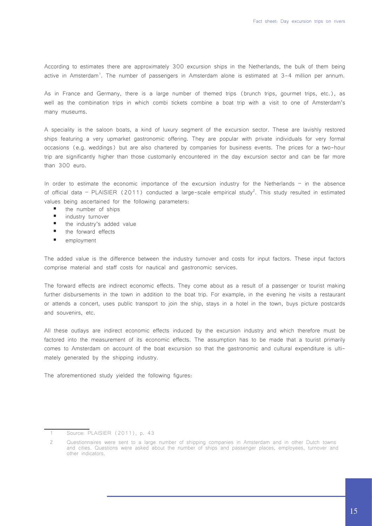According to estimates there are approximately 300 excursion ships in the Netherlands, the bulk of them being active in Amsterdam<sup>1</sup>. The number of passengers in Amsterdam alone is estimated at 3-4 million per annum.

As in France and Germany, there is a large number of themed trips (brunch trips, gourmet trips, etc.), as well as the combination trips in which combi tickets combine a boat trip with a visit to one of Amsterdam's many museums.

A speciality is the saloon boats, a kind of luxury segment of the excursion sector. These are lavishly restored ships featuring a very upmarket gastronomic offering. They are popular with private individuals for very formal occasions (e.g. weddings) but are also chartered by companies for business events. The prices for a two-hour trip are significantly higher than those customarily encountered in the day excursion sector and can be far more than 300 euro.

In order to estimate the economic importance of the excursion industry for the Netherlands  $-$  in the absence of official data - PLAISIER (2011) conducted a large-scale empirical study<sup>2</sup>. This study resulted in estimated values being ascertained for the following parameters:

- the number of ships
- **I** industry turnover
- **the industry's added value**
- **the forward effects**
- **E** employment

The added value is the difference between the industry turnover and costs for input factors. These input factors comprise material and staff costs for nautical and gastronomic services.

The forward effects are indirect economic effects. They come about as a result of a passenger or tourist making further disbursements in the town in addition to the boat trip. For example, in the evening he visits a restaurant or attends a concert, uses public transport to join the ship, stays in a hotel in the town, buys picture postcards and souvenirs, etc.

All these outlays are indirect economic effects induced by the excursion industry and which therefore must be factored into the measurement of its economic effects. The assumption has to be made that a tourist primarily comes to Amsterdam on account of the boat excursion so that the gastronomic and cultural expenditure is ultimately generated by the shipping industry.

The aforementioned study yielded the following figures:

Source: PLAISIER (2011), p. 43

<sup>2</sup> Questionnaires were sent to a large number of shipping companies in Amsterdam and in other Dutch towns and cities. Questions were asked about the number of ships and passenger places, employees, turnover and other indicators.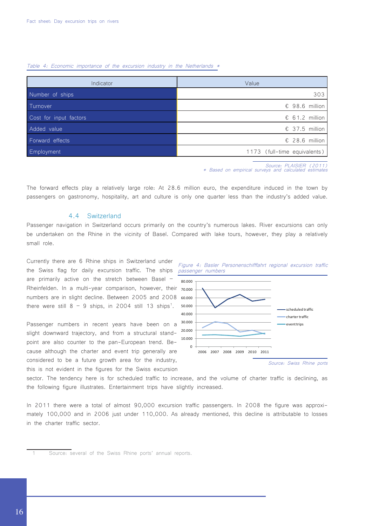#### Table 4: Economic importance of the excursion industry in the Netherlands \*

| Indicator              | Value                        |
|------------------------|------------------------------|
| Number of ships        | 303                          |
| Turnover               | € 98.6 million               |
| Cost for input factors | € 61.2 million               |
| Added value            | € 37.5 million               |
| Forward effects        | $£$ 28.6 million             |
| Employment             | 1173 (full-time equivalents) |

Source: PLAISIER (2011) \* Based on empirical surveys and calculated estimates

The forward effects play a relatively large role: At 28.6 million euro, the expenditure induced in the town by passengers on gastronomy, hospitality, art and culture is only one quarter less than the industry's added value.

#### 4.4 Switzerland

Passenger navigation in Switzerland occurs primarily on the country's numerous lakes. River excursions can only be undertaken on the Rhine in the vicinity of Basel. Compared with lake tours, however, they play a relatively small role.

Currently there are 6 Rhine ships in Switzerland under the Swiss flag for daily excursion traffic. The ships are primarily active on the stretch between Basel – Rheinfelden. In a multi-year comparison, however, their <sub>70.000</sub> numbers are in slight decline. Between 2005 and 2008 there were still  $8 - 9$  ships, in 2004 still 13 ships<sup>1</sup>.

Passenger numbers in recent years have been on a slight downward trajectory, and from a structural standpoint are also counter to the pan-European trend. Because although the charter and event trip generally are considered to be a future growth area for the industry, this is not evident in the figures for the Swiss excursion



Source: Swiss Rhine ports

sector. The tendency here is for scheduled traffic to increase, and the volume of charter traffic is declining, as the following figure illustrates. Entertainment trips have slightly increased.

In 2011 there were a total of almost 90,000 excursion traffic passengers. In 2008 the figure was approximately 100,000 and in 2006 just under 110,000. As already mentioned, this decline is attributable to losses in the charter traffic sector.

Source: several of the Swiss Rhine ports' annual reports.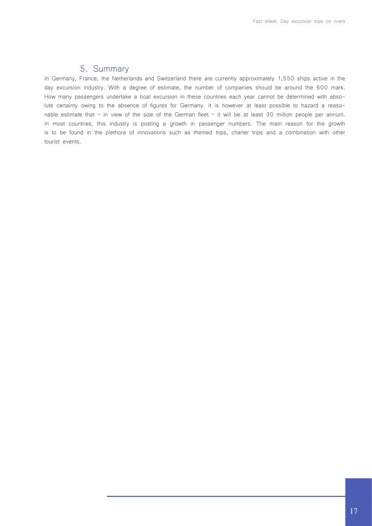# 5. Summary

In Germany, France, the Netherlands and Switzerland there are currently approximately 1,550 ships active in the day excursion industry. With a degree of estimate, the number of companies should be around the 600 mark. How many passengers undertake a boat excursion in these countries each year cannot be determined with absolute certainty owing to the absence of figures for Germany. It is however at least possible to hazard a reasonable estimate that  $-$  in view of the size of the German fleet  $-$  it will be at least 30 million people per annum. In most countries, this industry is posting a growth in passenger numbers. The main reason for the growth is to be found in the plethora of innovations such as themed trips, charter trips and a combination with other tourist events.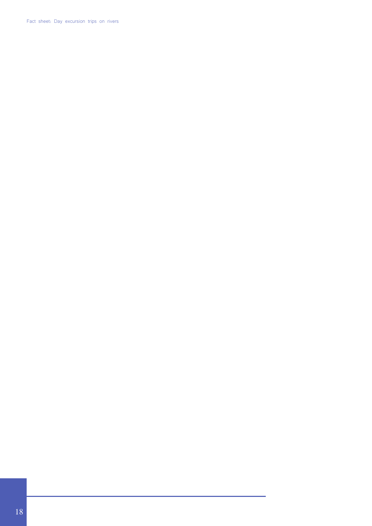Fact sheet: Day excursion trips on rivers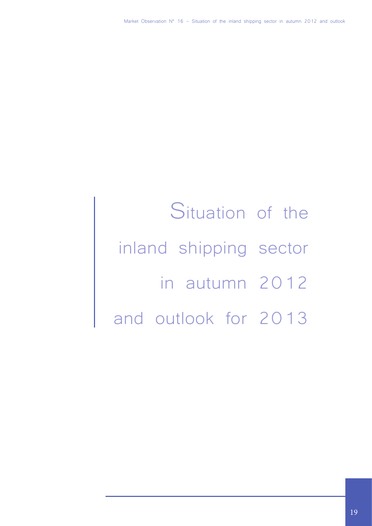Situation of the inland shipping sector in autumn 2012 and outlook for 2013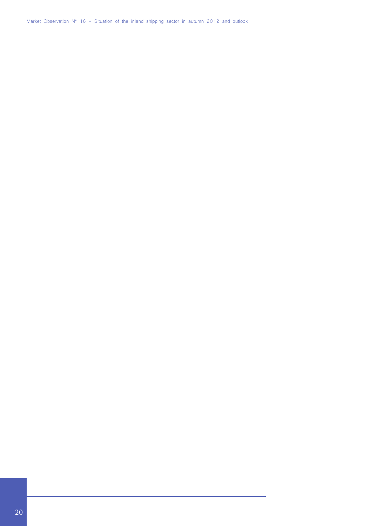Market Observation N° 16 - Situation of the inland shipping sector in autumn 2012 and outlook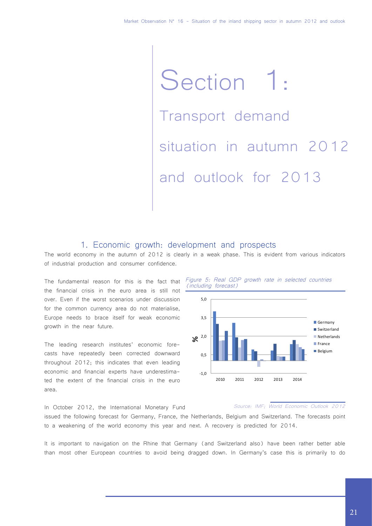Section 1: Transport demand situation in autumn 2012 and outlook for 2013

#### 1. Economic growth: development and prospects

The world economy in the autumn of 2012 is clearly in a weak phase. This is evident from various indicators of industrial production and consumer confidence.

The fundamental reason for this is the fact that the financial crisis in the euro area is still not over. Even if the worst scenarios under discussion for the common currency area do not materialise, Europe needs to brace itself for weak economic growth in the near future.

The leading research institutes' economic forecasts have repeatedly been corrected downward throughout 2012; this indicates that even leading economic and financial experts have underestimated the extent of the financial crisis in the euro area.

Figure 5: Real GDP growth rate in selected countries (including forecast)



In October 2012, the International Monetary Fund

#### Source: IMF; World Economic Outlook 2012

issued the following forecast for Germany, France, the Netherlands, Belgium and Switzerland. The forecasts point to a weakening of the world economy this year and next. A recovery is predicted for 2014.

It is important to navigation on the Rhine that Germany (and Switzerland also) have been rather better able than most other European countries to avoid being dragged down. In Germany's case this is primarily to do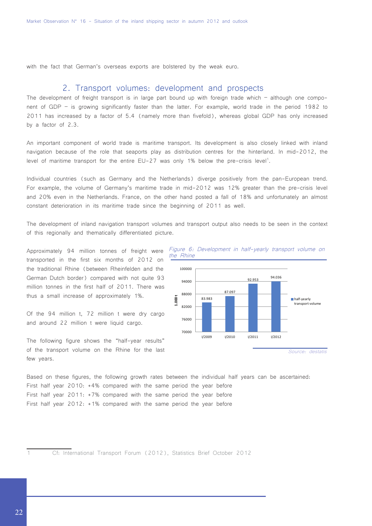with the fact that German's overseas exports are bolstered by the weak euro.

## 2. Transport volumes: development and prospects

The development of freight transport is in large part bound up with foreign trade which  $-$  although one component of GDP – is growing significantly faster than the latter. For example, world trade in the period 1982 to 2011 has increased by a factor of 5.4 (namely more than fivefold), whereas global GDP has only increased by a factor of 2.3.

An important component of world trade is maritime transport. Its development is also closely linked with inland navigation because of the role that seaports play as distribution centres for the hinterland. In mid-2012, the level of maritime transport for the entire  $EU-27$  was only 1% below the pre-crisis level<sup>1</sup>.

Individual countries (such as Germany and the Netherlands) diverge positively from the pan-European trend. For example, the volume of Germany's maritime trade in mid-2012 was 12% greater than the pre-crisis level and 20% even in the Netherlands. France, on the other hand posted a fall of 18% and unfortunately an almost constant deterioration in its maritime trade since the beginning of 2011 as well.

The development of inland navigation transport volumes and transport output also needs to be seen in the context of this regionally and thematically differentiated picture.

76000

Approximately 94 million tonnes of freight were transported in the first six months of 2012 on the traditional Rhine (between Rheinfelden and the German Dutch border) compared with not quite 93 million tonnes in the first half of 2011. There was thus a small increase of approximately 1%.

Of the 94 million t, 72 million t were dry cargo and around 22 million t were liquid cargo.

The following figure shows the "half-year results" of the transport volume on the Rhine for the last few years.



Source: destatis 70000 I/2009 I/2010 I/2011 I/2012

Based on these figures, the following growth rates between the individual half years can be ascertained: First half year 2010: +4% compared with the same period the year before First half year 2011: +7% compared with the same period the year before First half year 2012: +1% compared with the same period the year before

Cf: International Transport Forum (2012), Statistics Brief October 2012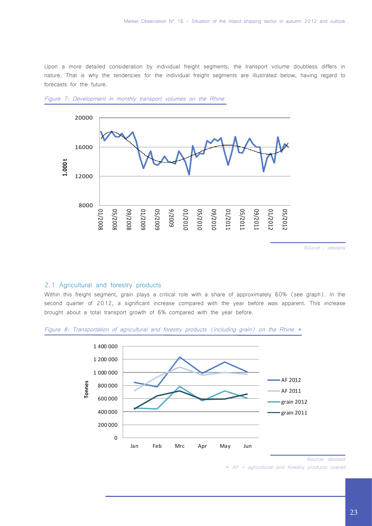Upon a more detailed consideration by individual freight segments, the transport volume doubtless differs in nature. That is why the tendencies for the individual freight segments are illustrated below, having regard to forecasts for the future.



Figure 7: Development in monthly transport volumes on the Rhine

#### 2.1 Agricultural and forestry products

Within this freight segment, grain plays a critical role with a share of approximately 60% (see graph). In the second quarter of 2012, a significant increase compared with the year before was apparent. This increase brought about a total transport growth of 6% compared with the year before.

Figure 8: Transportation of agricultural and forestry products (including grain) on the Rhine  $*$ 



\* AF = agricultural and forestry products overall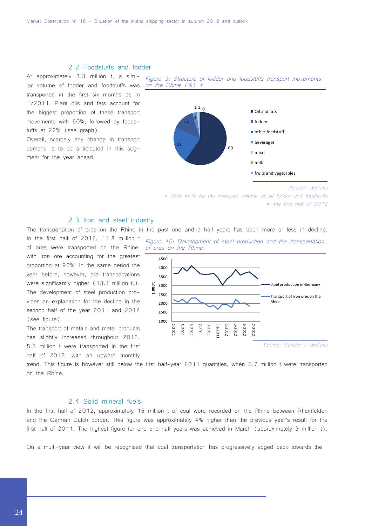#### 2.2 Foodstuffs and fodder

At approximately 3.3 million t, a similar volume of fodder and foodstuffs was on the Rhine (%)  $*$ transported in the first six months as in 1/2011. Plant oils and fats account for the biggest proportion of these transport movements with 60%, followed by foodstuffs at 22% (see graph).

Overall, scarcely any change in transport demand is to be anticipated in this segment for the year ahead.



Source: destatis

\* Data in % for the transport volume of all fodder and foodstuffs in the first half of 2012

#### 2.3 Iron and steel industry

The transportation of ores on the Rhine in the past one and a half years has been more or less in decline. In the first half of 2012, 11.8 million t of ores were transported on the Rhine, with iron ore accounting for the greatest proportion at 96%. In the same period the year before, however, ore transportations were significantly higher (13.1 million t.). The development of steel production provides an explanation for the decline in the second half of the year 2011 and 2012 (see figure).

The transport of metals and metal products has slightly increased throughout 2012. 5.3 million t were transported in the first half of 2012, with an upward monthly

Figure 10: Development of steel production and the transportation of ores on the Rhine



trend. This figure is however still below the first half-year 2011 quantities, when 5.7 million t were transported on the Rhine.

#### 2.4 Solid mineral fuels

In the first half of 2012, approximately 15 million t of coal were recorded on the Rhine between Rheinfelden and the German Dutch border. This figure was approximately 4% higher than the previous year's result for the first half of 2011. The highest figure for one and half years was achieved in March (approximately 3 million t).

On a multi-year view it will be recognised that coal transportation has progressively edged back towards the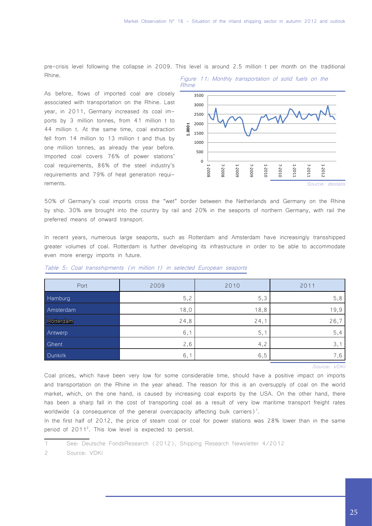pre-crisis level following the collapse in 2009. This level is around 2.5 million t per month on the traditional Rhine.

As before, flows of imported coal are closely associated with transportation on the Rhine. Last year, in 2011, Germany increased its coal imports by 3 million tonnes, from 41 million t to 44 million t. At the same time, coal extraction fell from 14 million to 13 million t and thus by one million tonnes, as already the year before. Imported coal covers 76% of power stations' coal requirements, 86% of the steel industry's requirements and 79% of heat generation requirements.



50% of Germany's coal imports cross the "wet" border between the Netherlands and Germany on the Rhine by ship. 30% are brought into the country by rail and 20% in the seaports of northern Germany, with rail the preferred means of onward transport.

In recent years, numerous large seaports, such as Rotterdam and Amsterdam have increasingly transshipped greater volumes of coal. Rotterdam is further developing its infrastructure in order to be able to accommodate even more energy imports in future.

| Port           | 2009 | 2010 | 2011 |
|----------------|------|------|------|
| Hamburg        | 5, 2 | 5,3  | 5,8  |
| Amsterdam      | 18,0 | 18,8 | 19,9 |
| Rotterdam      | 24,8 | 24,1 | 26,7 |
| Antwerp        | 6,1  | 5,1  | 5,4  |
| Ghent          | 2,6  | 4,2  | 3,1  |
| <b>Dunkirk</b> | 6,1  | 6,5  | 7,6  |

#### Table 5: Coal transshipments (in million t) in selected European seaports

Source: VDKI

Coal prices, which have been very low for some considerable time, should have a positive impact on imports and transportation on the Rhine in the year ahead. The reason for this is an oversupply of coal on the world market, which, on the one hand, is caused by increasing coal exports by the USA. On the other hand, there has been a sharp fall in the cost of transporting coal as a result of very low maritime transport freight rates worldwide (a consequence of the general overcapacity affecting bulk carriers)<sup>1</sup>.

In the first half of 2012, the price of steam coal or coal for power stations was 28% lower than in the same period of  $2011^2$ . This low level is expected to persist.

<sup>1</sup> See: Deutsche FondsResearch (2012), Shipping Research Newsletter 4/2012

<sup>2</sup> Source: VDKI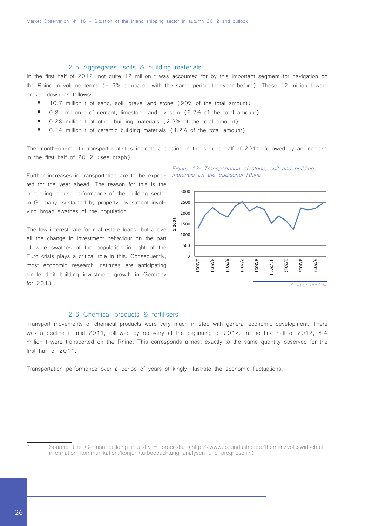#### 2.5 Aggregates, soils & building materials

In the first half of 2012, not quite 12 million t was accounted for by this important segment for navigation on the Rhine in volume terms (+ 3% compared with the same period the year before). These 12 million t were broken down as follows:

- 10.7 million t of sand, soil, gravel and stone (90% of the total amount)
- 0.8 million t of cement, limestone and gypsum (6.7% of the total amount)
- 0.28 million t of other building materials (2.3% of the total amount)
- 0.14 million t of ceramic building materials (1.2% of the total amount)

The month-on-month transport statistics indicate a decline in the second half of 2011, followed by an increase in the first half of 2012 (see graph).

Further increases in transportation are to be expected for the year ahead. The reason for this is the continuing robust performance of the building sector in Germany, sustained by property investment involving broad swathes of the population.

The low interest rate for real estate loans, but above all the change in investment behaviour on the part of wide swathes of the population in light of the Euro crisis plays a critical role in this. Consequently, most economic research institutes are anticipating single digit building investment growth in Germany for  $2013^1$ .





#### 2.6 Chemical products & fertilisers

Transport movements of chemical products were very much in step with general economic development. There was a decline in mid-2011, followed by recovery at the beginning of 2012. In the first half of 2012, 8.4 million t were transported on the Rhine. This corresponds almost exactly to the same quantity observed for the first half of 2011.

Transportation performance over a period of years strikingly illustrate the economic fluctuations:

<sup>1</sup> Source: The German building industry – forecasts. (http://www.bauindustrie.de/themen/volkswirtschaftinformation-kommunikation/konjunkturbeobachtung-analysen-und-prognosen/)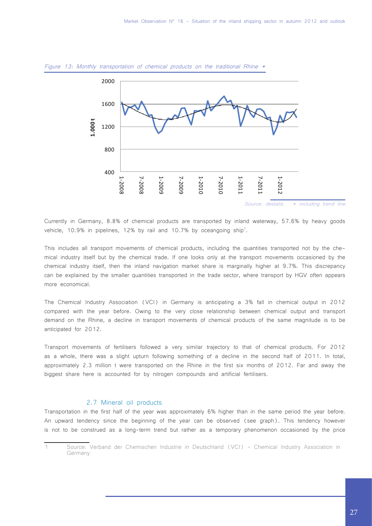

Figure 13: Monthly transportation of chemical products on the traditional Rhine  $*$ 

Currently in Germany, 8.8% of chemical products are transported by inland waterway, 57.6% by heavy goods vehicle, 10.9% in pipelines, 12% by rail and 10.7% by oceangoing ship<sup>1</sup>.

This includes all transport movements of chemical products, including the quantities transported not by the chemical industry itself but by the chemical trade. If one looks only at the transport movements occasioned by the chemical industry itself, then the inland navigation market share is marginally higher at 9.7%. This discrepancy can be explained by the smaller quantities transported in the trade sector, where transport by HGV often appears more economical.

The Chemical Industry Association (VCI) in Germany is anticipating a 3% fall in chemical output in 2012 compared with the year before. Owing to the very close relationship between chemical output and transport demand on the Rhine, a decline in transport movements of chemical products of the same magnitude is to be anticipated for 2012.

Transport movements of fertilisers followed a very similar trajectory to that of chemical products. For 2012 as a whole, there was a slight upturn following something of a decline in the second half of 2011. In total, approximately 2.3 million t were transported on the Rhine in the first six months of 2012. Far and away the biggest share here is accounted for by nitrogen compounds and artificial fertilisers.

#### 2.7 Mineral oil products

Transportation in the first half of the year was approximately 6% higher than in the same period the year before. An upward tendency since the beginning of the year can be observed (see graph). This tendency however is not to be construed as a long-term trend but rather as a temporary phenomenon occasioned by the price

<sup>1</sup> Source: Verband der Chemischen Industrie in Deutschland (VCI) - Chemical Industry Association in Germany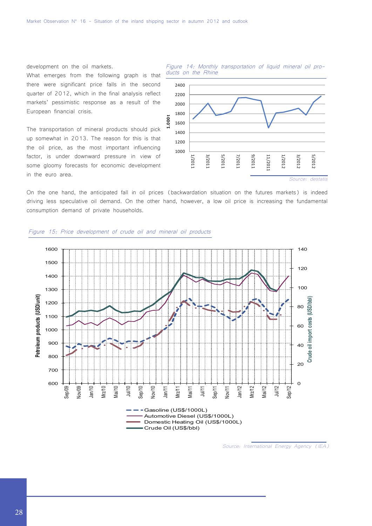development on the oil markets.

What emerges from the following graph is that there were significant price falls in the second quarter of 2012, which in the final analysis reflect markets' pessimistic response as a result of the European financial crisis.

The transportation of mineral products should pick up somewhat in 2013. The reason for this is that the oil price, as the most important influencing factor, is under downward pressure in view of some gloomy forecasts for economic development in the euro area.

1000 1200 1400 1600 1800 2000 2200 2400 1/2011 3/2011 5/2011 7/2011 9/2011 11/2011 1/2012 3/2012 5/2012 **1.000 t**

Figure 14: Monthly transportation of liquid mineral oil pro-

Source: destatis

On the one hand, the anticipated fall in oil prices (backwardation situation on the futures markets) is indeed driving less speculative oil demand. On the other hand, however, a low oil price is increasing the fundamental consumption demand of private households.

ducts on the Rhine

#### Figure 15: Price development of crude oil and mineral oil products



Source: International Energy Agency (IEA)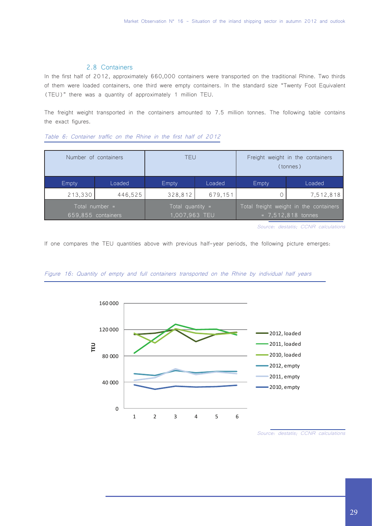#### 2.8 Containers

In the first half of 2012, approximately 660,000 containers were transported on the traditional Rhine. Two thirds of them were loaded containers, one third were empty containers. In the standard size "Twenty Foot Equivalent (TEU)" there was a quantity of approximately 1 million TEU.

The freight weight transported in the containers amounted to 7.5 million tonnes. The following table contains the exact figures.

|  |  | Table 6: Container traffic on the Rhine in the first half of 2012 |  |  |  |  |  |  |  |  |  |  |  |
|--|--|-------------------------------------------------------------------|--|--|--|--|--|--|--|--|--|--|--|
|--|--|-------------------------------------------------------------------|--|--|--|--|--|--|--|--|--|--|--|

|         | Number of containers                 | <b>TEU</b> |                                   |       | Freight weight in the containers<br>(tonnes)                   |  |  |  |
|---------|--------------------------------------|------------|-----------------------------------|-------|----------------------------------------------------------------|--|--|--|
| Empty   | Loaded                               | Empty      | Loaded                            | Empty | Loaded                                                         |  |  |  |
| 213,330 | 446,525                              | 328,812    | 679,151                           |       | 7,512,818                                                      |  |  |  |
|         | Total number =<br>659,855 containers |            | Total quantity =<br>1,007,963 TEU |       | Total freight weight in the containers<br>$= 7,512,818$ tonnes |  |  |  |

Source: destatis; CCNR calculations

If one compares the TEU quantities above with previous half-year periods, the following picture emerges:



Figure 16: Quantity of empty and full containers transported on the Rhine by individual half years

Source: destatis; CCNR calculations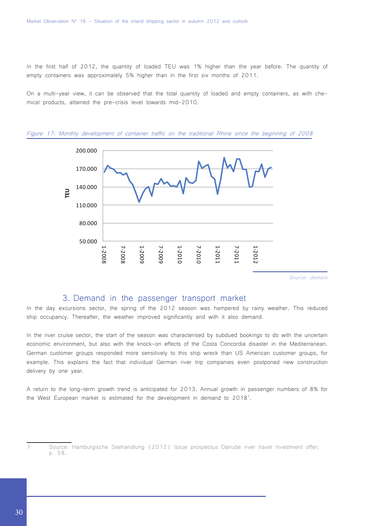In the first half of 2012, the quantity of loaded TEU was 1% higher than the year before. The quantity of empty containers was approximately 5% higher than in the first six months of 2011.

On a multi-year view, it can be observed that the total quantity of loaded and empty containers, as with chemical products, attained the pre-crisis level towards mid-2010.



Figure 17: Monthly development of container traffic on the traditional Rhine since the beginning of 2008

#### Source: destatis

#### 3. Demand in the passenger transport market

In the day excursions sector, the spring of the 2012 season was hampered by rainy weather. This reduced ship occupancy. Thereafter, the weather improved significantly and with it also demand.

In the river cruise sector, the start of the season was characterised by subdued bookings to do with the uncertain economic environment, but also with the knock-on effects of the Costa Concordia disaster in the Mediterranean. German customer groups responded more sensitively to this ship wreck than US American customer groups, for example. This explains the fact that individual German river trip companies even postponed new construction delivery by one year.

A return to the long-term growth trend is anticipated for 2013. Annual growth in passenger numbers of 8% for the West European market is estimated for the development in demand to 2018<sup>1</sup>.

<sup>1</sup> Source: Hamburgische Seehandlung (2012) Issue prospectus Danube river travel investment offer; p. 58.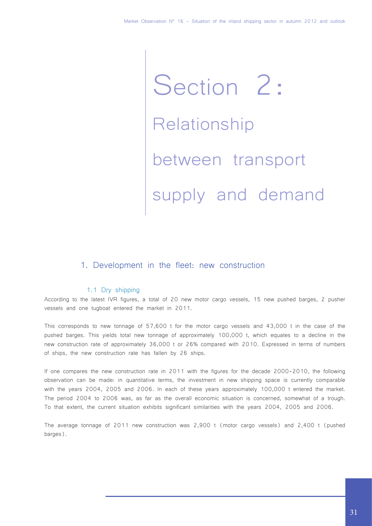# Section 2: Relationship between transport supply and demand

# 1. Development in the fleet: new construction

#### 1.1 Dry shipping

According to the latest IVR figures, a total of 20 new motor cargo vessels, 15 new pushed barges, 2 pusher vessels and one tugboat entered the market in 2011.

This corresponds to new tonnage of 57,600 t for the motor cargo vessels and 43,000 t in the case of the pushed barges. This yields total new tonnage of approximately 100,000 t, which equates to a decline in the new construction rate of approximately 36,000 t or 26% compared with 2010. Expressed in terms of numbers of ships, the new construction rate has fallen by 26 ships.

If one compares the new construction rate in 2011 with the figures for the decade 2000-2010, the following observation can be made: in quantitative terms, the investment in new shipping space is currently comparable with the years 2004, 2005 and 2006. In each of these years approximately 100,000 t entered the market. The period 2004 to 2006 was, as far as the overall economic situation is concerned, somewhat of a trough. To that extent, the current situation exhibits significant similarities with the years 2004, 2005 and 2006.

The average tonnage of 2011 new construction was 2,900 t (motor cargo vessels) and 2,400 t (pushed barges).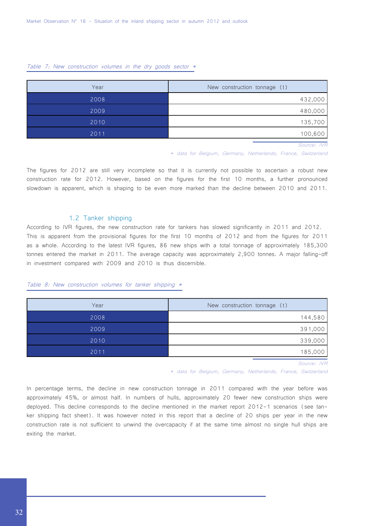#### Table 7: New construction volumes in the dry goods sector  $*$

| Year | New construction tonnage (t) |
|------|------------------------------|
| 2008 | 432,000                      |
| 2009 | 480,000                      |
| 2010 | 135,700                      |
| 2011 | 100,600                      |

Source: IVR

\* data for Belgium, Germany, Netherlands, France, Switzerland

The figures for 2012 are still very incomplete so that it is currently not possible to ascertain a robust new construction rate for 2012. However, based on the figures for the first 10 months, a further pronounced slowdown is apparent, which is shaping to be even more marked than the decline between 2010 and 2011.

#### 1.2 Tanker shipping

According to IVR figures, the new construction rate for tankers has slowed significantly in 2011 and 2012. This is apparent from the provisional figures for the first 10 months of 2012 and from the figures for 2011 as a whole. According to the latest IVR figures, 86 new ships with a total tonnage of approximately 185,300 tonnes entered the market in 2011. The average capacity was approximately 2,900 tonnes. A major falling-off in investment compared with 2009 and 2010 is thus discernible.

#### Table 8: New construction volumes for tanker shipping  $*$

| Year | New construction tonnage (t) |
|------|------------------------------|
| 2008 | 144,580                      |
| 2009 | 391,000                      |
| 2010 | 339,000                      |
| 2011 | 185,000                      |

Source: IVR

\* data for Belgium, Germany, Netherlands, France, Switzerland

In percentage terms, the decline in new construction tonnage in 2011 compared with the year before was approximately 45%, or almost half. In numbers of hulls, approximately 20 fewer new construction ships were deployed. This decline corresponds to the decline mentioned in the market report 2012-1 scenarios (see tanker shipping fact sheet). It was however noted in this report that a decline of 20 ships per year in the new construction rate is not sufficient to unwind the overcapacity if at the same time almost no single hull ships are exiting the market.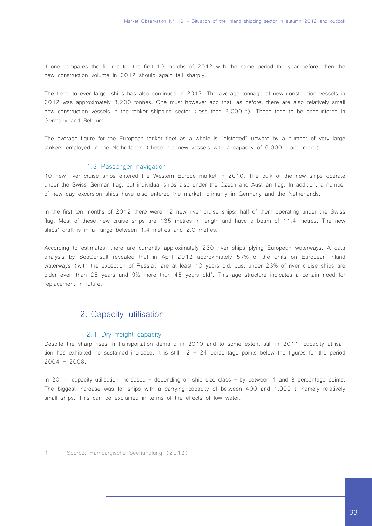If one compares the figures for the first 10 months of 2012 with the same period the year before, then the new construction volume in 2012 should again fall sharply.

The trend to ever larger ships has also continued in 2012. The average tonnage of new construction vessels in 2012 was approximately 3,200 tonnes. One must however add that, as before, there are also relatively small new construction vessels in the tanker shipping sector (less than 2,000 t). These tend to be encountered in Germany and Belgium.

The average figure for the European tanker fleet as a whole is "distorted" upward by a number of very large tankers employed in the Netherlands (these are new vessels with a capacity of 6,000 t and more).

#### 1.3 Passenger navigation

10 new river cruise ships entered the Western Europe market in 2010. The bulk of the new ships operate under the Swiss German flag, but individual ships also under the Czech and Austrian flag. In addition, a number of new day excursion ships have also entered the market, primarily in Germany and the Netherlands.

In the first ten months of 2012 there were 12 new river cruise ships; half of them operating under the Swiss flag. Most of these new cruise ships are 135 metres in length and have a beam of 11.4 metres. The new ships' draft is in a range between 1.4 metres and 2.0 metres.

According to estimates, there are currently approximately 230 river ships plying European waterways. A data analysis by SeaConsult revealed that in April 2012 approximately 57% of the units on European inland waterways (with the exception of Russia) are at least 10 years old. Just under 23% of river cruise ships are older even than 25 years and 9% more than 45 years old<sup>1</sup>. This age structure indicates a certain need for replacement in future.

# 2. Capacity utilisation

#### 2.1 Dry freight capacity

Despite the sharp rises in transportation demand in 2010 and to some extent still in 2011, capacity utilisation has exhibited no sustained increase. It is still  $12 - 24$  percentage points below the figures for the period 2004 – 2008.

In 2011, capacity utilisation increased – depending on ship size class – by between 4 and 8 percentage points. The biggest increase was for ships with a carrying capacity of between 400 and 1,000 t, namely relatively small ships. This can be explained in terms of the effects of low water.

<sup>1</sup> Source: Hamburgische Seehandlung (2012)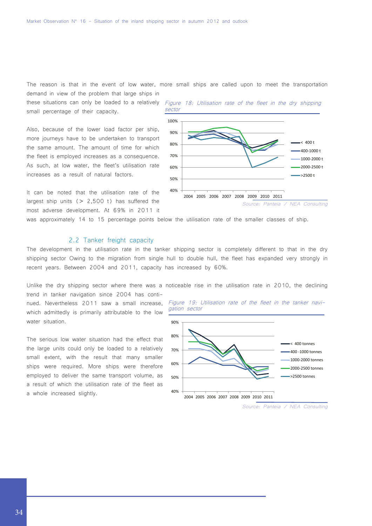The reason is that in the event of low water, more small ships are called upon to meet the transportation demand in view of the problem that large ships in

these situations can only be loaded to a relatively small percentage of their capacity.

Also, because of the lower load factor per ship, more journeys have to be undertaken to transport the same amount. The amount of time for which the fleet is employed increases as a consequence. As such, at low water, the fleet's utilisation rate increases as a result of natural factors.

It can be noted that the utilisation rate of the largest ship units  $(> 2,500 t)$  has suffered the most adverse development. At 69% in 2011 it



was approximately 14 to 15 percentage points below the utilisation rate of the smaller classes of ship.

#### 2.2 Tanker freight capacity

The development in the utilisation rate in the tanker shipping sector is completely different to that in the dry shipping sector Owing to the migration from single hull to double hull, the fleet has expanded very strongly in recent years. Between 2004 and 2011, capacity has increased by 60%.

Unlike the dry shipping sector where there was a noticeable rise in the utilisation rate in 2010, the declining

trend in tanker navigation since 2004 has continued. Nevertheless 2011 saw a small increase, which admittedly is primarily attributable to the low water situation.

The serious low water situation had the effect that the large units could only be loaded to a relatively small extent, with the result that many smaller ships were required. More ships were therefore employed to deliver the same transport volume, as a result of which the utilisation rate of the fleet as a whole increased slightly.

Figure 19: Utilisation rate of the fleet in the tanker navigation sector



Source: Panteia / NEA Consulting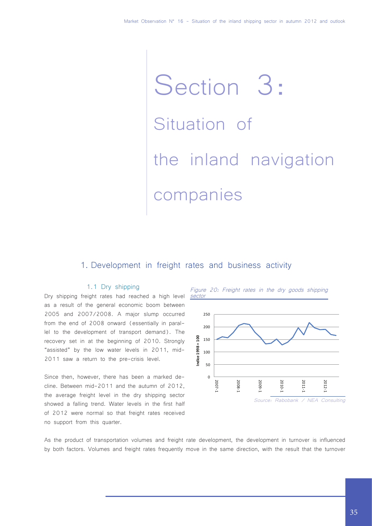# Section 3: Situation of the inland navigation companies

# 1. Development in freight rates and business activity

#### 1.1 Dry shipping

Dry shipping freight rates had reached a high level as a result of the general economic boom between 2005 and 2007/2008. A major slump occurred from the end of 2008 onward (essentially in parallel to the development of transport demand). The recovery set in at the beginning of 2010. Strongly "assisted" by the low water levels in 2011, mid-2011 saw a return to the pre-crisis level.

Since then, however, there has been a marked decline. Between mid-2011 and the autumn of 2012, the average freight level in the dry shipping sector showed a falling trend. Water levels in the first half of 2012 were normal so that freight rates received no support from this quarter.



As the product of transportation volumes and freight rate development, the development in turnover is influenced by both factors. Volumes and freight rates frequently move in the same direction, with the result that the turnover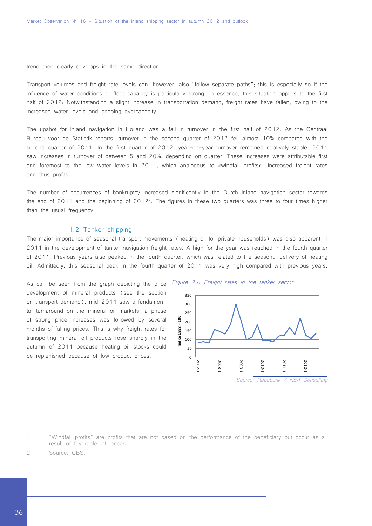trend then clearly develops in the same direction.

Transport volumes and freight rate levels can, however, also "follow separate paths"; this is especially so if the influence of water conditions or fleet capacity is particularly strong. In essence, this situation applies to the first half of 2012: Notwithstanding a slight increase in transportation demand, freight rates have fallen, owing to the increased water levels and ongoing overcapacity.

The upshot for inland navigation in Holland was a fall in turnover in the first half of 2012. As the Centraal Bureau voor de Statistik reports, turnover in the second quarter of 2012 fell almost 10% compared with the second quarter of 2011. In the first quarter of 2012, year-on-year turnover remained relatively stable. 2011 saw increases in turnover of between 5 and 20%, depending on quarter. These increases were attributable first and foremost to the low water levels in 2011, which analogous to «windfall profits»<sup>1</sup> increased freight rates and thus profits.

The number of occurrences of bankruptcy increased significantly in the Dutch inland navigation sector towards the end of 2011 and the beginning of 2012<sup>2</sup>. The figures in these two quarters was three to four times higher than the usual frequency.

#### 1.2 Tanker shipping

The major importance of seasonal transport movements (heating oil for private households) was also apparent in 2011 in the development of tanker navigation freight rates. A high for the year was reached in the fourth quarter of 2011. Previous years also peaked in the fourth quarter, which was related to the seasonal delivery of heating oil. Admittedly, this seasonal peak in the fourth quarter of 2011 was very high compared with previous years.

As can be seen from the graph depicting the price development of mineral products (see the section on transport demand), mid-2011 saw a fundamental turnaround on the mineral oil markets; a phase of strong price increases was followed by several months of falling prices. This is why freight rates for transporting mineral oil products rose sharply in the autumn of 2011 because heating oil stocks could be replenished because of low product prices.





1 "Windfall profits" are profits that are not based on the performance of the beneficiary but occur as a result of favorable influences.

<sup>2</sup> Source: CBS.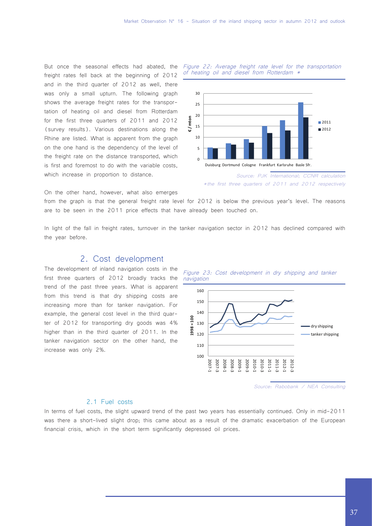But once the seasonal effects had abated, the freight rates fell back at the beginning of 2012 and in the third quarter of 2012 as well, there was only a small upturn. The following graph shows the average freight rates for the transportation of heating oil and diesel from Rotterdam for the first three quarters of 2011 and 2012 (survey results). Various destinations along the Rhine are listed. What is apparent from the graph on the one hand is the dependency of the level of the freight rate on the distance transported, which is first and foremost to do with the variable costs, which increase in proportion to distance.

On the other hand, however, what also emerges

from the graph is that the general freight rate level for 2012 is below the previous year's level. The reasons are to be seen in the 2011 price effects that have already been touched on.

In light of the fall in freight rates, turnover in the tanker navigation sector in 2012 has declined compared with the year before.

## 2. Cost development

The development of inland navigation costs in the first three quarters of 2012 broadly tracks the trend of the past three years. What is apparent from this trend is that dry shipping costs are increasing more than for tanker navigation. For example, the general cost level in the third quarter of 2012 for transporting dry goods was 4% higher than in the third quarter of 2011. In the tanker navigation sector on the other hand, the increase was only 2%.

Figure 23: Cost development in dry shipping and tanker navigation



Source: Rabobank / NEA Consulting

#### 2.1 Fuel costs

In terms of fuel costs, the slight upward trend of the past two years has essentially continued. Only in mid-2011 was there a short-lived slight drop; this came about as a result of the dramatic exacerbation of the European financial crisis, which in the short term significantly depressed oil prices.



\*the first three quarters of 2011 and 2012 respectively

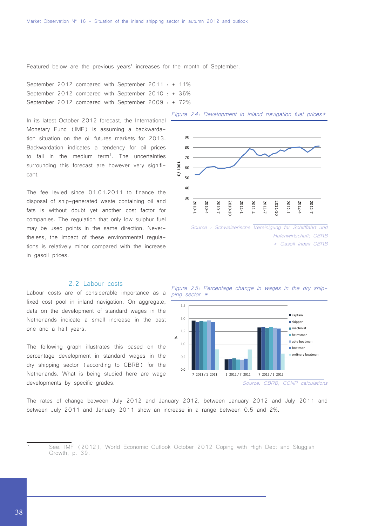Featured below are the previous years' increases for the month of September.

September 2012 compared with September 2011 : + 11% September 2012 compared with September 2010 : + 36% September 2012 compared with September 2009 : + 72%

In its latest October 2012 forecast, the International Monetary Fund (IMF) is assuming a backwardation situation on the oil futures markets for 2013. Backwardation indicates a tendency for oil prices to fall in the medium term<sup>1</sup>. The uncertainties surrounding this forecast are however very significant.

The fee levied since 01.01.2011 to finance the disposal of ship-generated waste containing oil and fats is without doubt yet another cost factor for companies. The regulation that only low sulphur fuel may be used points in the same direction. Nevertheless, the impact of these environmental regulations is relatively minor compared with the increase in gasoil prices.

#### 90 80 70 **/ 100 L** 60 **€** $50$ 40 30 2010-7 2011-4 2012-1 2012-4 2012-7 2010-1 2010-4 2010-10 2011-1 2011-7 2010-10 2011-10 2011-10 Source : Schweizerische Vereinigung für Schifffahrt und

# Figure 24: Development in inland navigation fuel prices $*$

Hafenwirtschaft; CBRB \* Gasoil index CBRB

#### 2.2 Labour costs

Labour costs are of considerable importance as a fixed cost pool in inland navigation. On aggregate, data on the development of standard wages in the Netherlands indicate a small increase in the past one and a half years.

The following graph illustrates this based on the percentage development in standard wages in the dry shipping sector (according to CBRB) for the Netherlands. What is being studied here are wage developments by specific grades.

Figure 25: Percentage change in wages in the dry shipping sector \*



Source: CBRB; CCNR calculations

The rates of change between July 2012 and January 2012, between January 2012 and July 2011 and between July 2011 and January 2011 show an increase in a range between 0.5 and 2%.

<sup>1</sup> See: IMF (2012), World Economic Outlook October 2012 Coping with High Debt and Sluggish Growth, p. 39.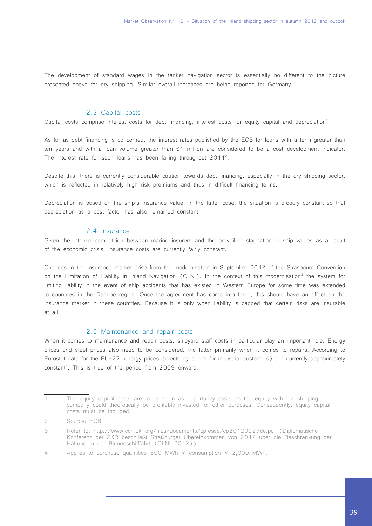The development of standard wages in the tanker navigation sector is essentially no different to the picture presented above for dry shipping. Similar overall increases are being reported for Germany.

#### 2.3 Capital costs

Capital costs comprise interest costs for debt financing, interest costs for equity capital and depreciation<sup>1</sup>.

As far as debt financing is concerned, the interest rates published by the ECB for loans with a term greater than ten years and with a loan volume greater than  $E1$  million are considered to be a cost development indicator. The interest rate for such loans has been falling throughout  $2011^2$ .

Despite this, there is currently considerable caution towards debt financing, especially in the dry shipping sector, which is reflected in relatively high risk premiums and thus in difficult financing terms.

Depreciation is based on the ship's insurance value. In the latter case, the situation is broadly constant so that depreciation as a cost factor has also remained constant.

#### 2.4 Insurance

Given the intense competition between marine insurers and the prevailing stagnation in ship values as a result of the economic crisis, insurance costs are currently fairly constant.

Changes in the insurance market arise from the modernisation in September 2012 of the Strasbourg Convention on the Limitation of Liability in Inland Navigation (CLNI). In the context of this modernisation<sup>3</sup> the system for limiting liability in the event of ship accidents that has existed in Western Europe for some time was extended to countries in the Danube region. Once the agreement has come into force, this should have an effect on the insurance market in these countries. Because it is only when liability is capped that certain risks are insurable at all.

#### 2.5 Maintenance and repair costs

When it comes to maintenance and repair costs, shipyard staff costs in particular play an important role. Energy prices and steel prices also need to be considered, the latter primarily when it comes to repairs. According to Eurostat data for the EU-27, energy prices (electricity prices for industrial customers) are currently approximately constant<sup>4</sup>. This is true of the period from 2009 onward.

<sup>1</sup> The equity capital costs are to be seen as opportunity costs as the equity within a shipping company could theoretically be profitably invested for other purposes. Consequently, equity capital costs must be included.

<sup>2</sup> Source: ECB

<sup>3</sup> Refer to: http://www.ccr-zkr.org/files/documents/cpresse/cp20120927de.pdf (Diplomatische Konferenz der ZKR beschließt Straßburger Übereinkommen von 2012 über die Beschränkung der Haftung in der Binnenschifffahrt (CLNI 2012)).

<sup>4</sup> Applies to purchase quantities 500 MWh < consumption < 2,000 MWh.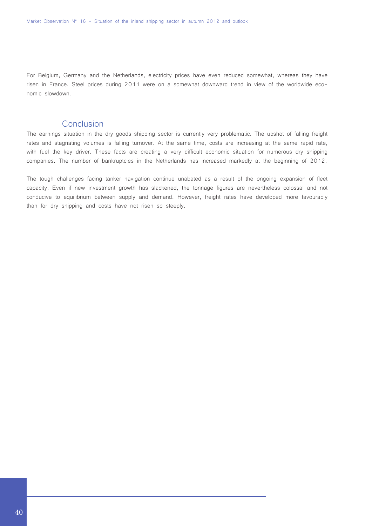For Belgium, Germany and the Netherlands, electricity prices have even reduced somewhat, whereas they have risen in France. Steel prices during 2011 were on a somewhat downward trend in view of the worldwide economic slowdown.

## Conclusion

The earnings situation in the dry goods shipping sector is currently very problematic. The upshot of falling freight rates and stagnating volumes is falling turnover. At the same time, costs are increasing at the same rapid rate, with fuel the key driver. These facts are creating a very difficult economic situation for numerous dry shipping companies. The number of bankruptcies in the Netherlands has increased markedly at the beginning of 2012.

The tough challenges facing tanker navigation continue unabated as a result of the ongoing expansion of fleet capacity. Even if new investment growth has slackened, the tonnage figures are nevertheless colossal and not conducive to equilibrium between supply and demand. However, freight rates have developed more favourably than for dry shipping and costs have not risen so steeply.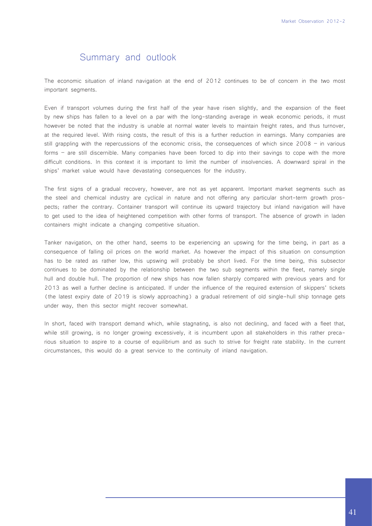# Summary and outlook

The economic situation of inland navigation at the end of 2012 continues to be of concern in the two most important segments.

Even if transport volumes during the first half of the year have risen slightly, and the expansion of the fleet by new ships has fallen to a level on a par with the long-standing average in weak economic periods, it must however be noted that the industry is unable at normal water levels to maintain freight rates, and thus turnover, at the required level. With rising costs, the result of this is a further reduction in earnings. Many companies are still grappling with the repercussions of the economic crisis, the consequences of which since 2008 – in various forms – are still discernible. Many companies have been forced to dip into their savings to cope with the more difficult conditions. In this context it is important to limit the number of insolvencies. A downward spiral in the ships' market value would have devastating consequences for the industry.

The first signs of a gradual recovery, however, are not as yet apparent. Important market segments such as the steel and chemical industry are cyclical in nature and not offering any particular short-term growth prospects; rather the contrary. Container transport will continue its upward trajectory but inland navigation will have to get used to the idea of heightened competition with other forms of transport. The absence of growth in laden containers might indicate a changing competitive situation.

Tanker navigation, on the other hand, seems to be experiencing an upswing for the time being, in part as a consequence of falling oil prices on the world market. As however the impact of this situation on consumption has to be rated as rather low, this upswing will probably be short lived. For the time being, this subsector continues to be dominated by the relationship between the two sub segments within the fleet, namely single hull and double hull. The proportion of new ships has now fallen sharply compared with previous years and for 2013 as well a further decline is anticipated. If under the influence of the required extension of skippers' tickets (the latest expiry date of 2019 is slowly approaching) a gradual retirement of old single-hull ship tonnage gets under way, then this sector might recover somewhat.

In short, faced with transport demand which, while stagnating, is also not declining, and faced with a fleet that, while still growing, is no longer growing excessively, it is incumbent upon all stakeholders in this rather precarious situation to aspire to a course of equilibrium and as such to strive for freight rate stability. In the current circumstances, this would do a great service to the continuity of inland navigation.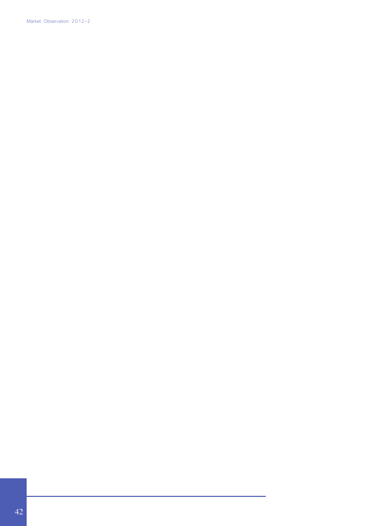Market Observation 2012-2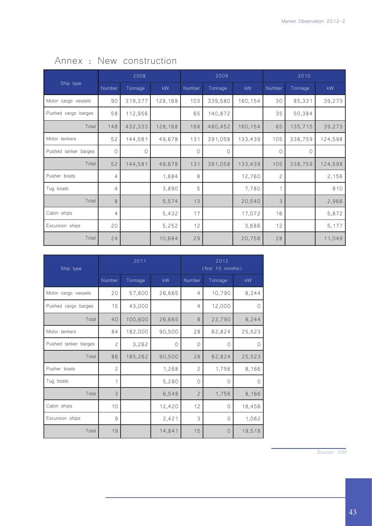|                      |                | 2008     |         |         | 2009    |         |        | 2010    |         |
|----------------------|----------------|----------|---------|---------|---------|---------|--------|---------|---------|
| Ship type            | Number         | Tonnage  | kW      | Number  | Tonnage | kW      | Number | Tonnage | kW      |
| Motor cargo vessels  | 90             | 319,377  | 128,168 | 103     | 339,580 | 160,154 | 30     | 85,331  | 39,273  |
| Pushed cargo barges  | 58             | 112,956  |         | 65      | 140,872 |         | 35     | 50,384  |         |
| Total                | 148            | 432,333  | 128,168 | 168     | 480,452 | 160,154 | 65     | 135,715 | 39,273  |
| Motor tankers        | 52             | 144,581  | 49,678  | 131     | 391,058 | 133,439 | 105    | 338,759 | 124,598 |
| Pushed tanker barges | $\circ$        | $\Omega$ |         | $\circ$ | 0       |         | 0      | $\circ$ |         |
| Total                | 52             | 144,581  | 49,678  | 131     | 391,058 | 133,439 | 105    | 338,759 | 124,598 |
| Pusher boats         | 4              |          | 1,684   | 8       |         | 12,760  | 2      |         | 2,156   |
| Tug boats            | $\overline{4}$ |          | 3,890   | 5       |         | 7,780   | 1      |         | 810     |
| Total                | 8              |          | 5,574   | 13      |         | 20,540  | 3      |         | 2,966   |
| Cabin ships          | $\overline{4}$ |          | 5,432   | 17      |         | 17,072  | 16     |         | 5,872   |
| Excursion ships      | 20             |          | 5,252   | 12      |         | 3,686   | 12     |         | 5,177   |
| Total                | 24             |          | 10,684  | 29      |         | 20,758  | 28     |         | 11,049  |

# Annex : New construction

| Ship type            |                | 2011    |           |                          | 2012<br>(first 10 months) |           |  |  |
|----------------------|----------------|---------|-----------|--------------------------|---------------------------|-----------|--|--|
|                      | Number         | Tonnage | <b>kW</b> | Number                   | Tonnage                   | <b>kW</b> |  |  |
| Motor cargo vessels  | 20             | 57,600  | 26,665    | $\overline{4}$           | 10,790                    | 8,244     |  |  |
| Pushed cargo barges  | 15             | 43,000  |           | $\overline{4}$           | 12,000                    | 0         |  |  |
| Total                | 40             | 100,600 | 26,665    | 8                        | 22,790                    | 8,244     |  |  |
| Motor tankers        | 84             | 182,000 | 90,500    | 28                       | 62,824                    | 25,523    |  |  |
| Pushed tanker barges | $\overline{c}$ | 3,262   | $\Omega$  | $\Omega$                 | $\Omega$                  | $\Omega$  |  |  |
| Total                | 86             | 185,262 | 90,500    | 28                       | 62,824                    | 25,523    |  |  |
| Pusher boats         | $\overline{c}$ |         | 1,268     | $\overline{\phantom{0}}$ | 1,756                     | 8,166     |  |  |
| Tug boats            | 1              |         | 5,280     | $\circ$                  | $\circ$                   | $\circ$   |  |  |
| Total                | 3              |         | 6,548     | $\overline{c}$           | 1,756                     | 8,166     |  |  |
| Cabin ships          | 10             |         | 12,420    | 12                       | $\Omega$                  | 18,456    |  |  |
| Excursion ships      | 9              |         | 2,421     | 3                        | $\Omega$                  | 1,062     |  |  |
| Total                | 19             |         | 14,841    | 15                       | $\circ$                   | 19,518    |  |  |

Source: IVR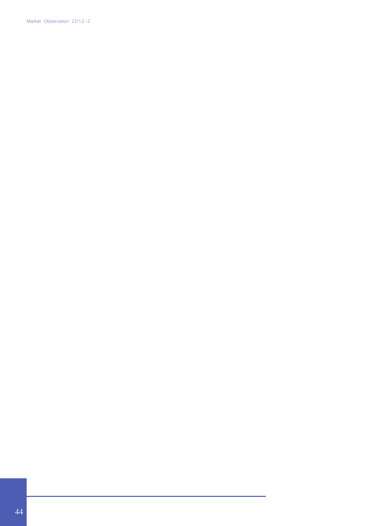Market Observation 2012-2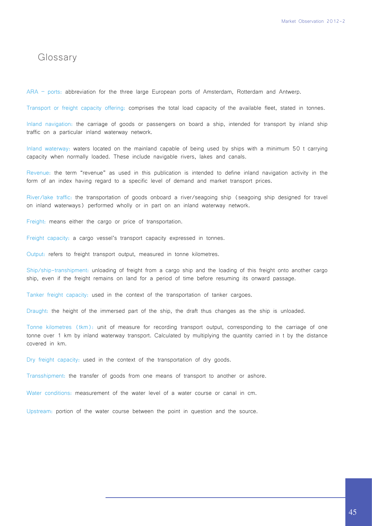# Glossary

ARA – ports: abbreviation for the three large European ports of Amsterdam, Rotterdam and Antwerp.

Transport or freight capacity offering: comprises the total load capacity of the available fleet, stated in tonnes.

Inland navigation: the carriage of goods or passengers on board a ship, intended for transport by inland ship traffic on a particular inland waterway network.

Inland waterway: waters located on the mainland capable of being used by ships with a minimum 50 t carrying capacity when normally loaded. These include navigable rivers, lakes and canals.

Revenue: the term "revenue" as used in this publication is intended to define inland navigation activity in the form of an index having regard to a specific level of demand and market transport prices.

River/lake traffic: the transportation of goods onboard a river/seagoing ship (seagoing ship designed for travel on inland waterways) performed wholly or in part on an inland waterway network.

Freight: means either the cargo or price of transportation.

Freight capacity: a cargo vessel's transport capacity expressed in tonnes.

Output: refers to freight transport output, measured in tonne kilometres.

Ship/ship-transhipment: unloading of freight from a cargo ship and the loading of this freight onto another cargo ship, even if the freight remains on land for a period of time before resuming its onward passage.

Tanker freight capacity: used in the context of the transportation of tanker cargoes.

Draught: the height of the immersed part of the ship, the draft thus changes as the ship is unloaded.

Tonne kilometres (tkm): unit of measure for recording transport output, corresponding to the carriage of one tonne over 1 km by inland waterway transport. Calculated by multiplying the quantity carried in t by the distance covered in km.

Dry freight capacity: used in the context of the transportation of dry goods.

Transshipment: the transfer of goods from one means of transport to another or ashore.

Water conditions: measurement of the water level of a water course or canal in cm.

Upstream: portion of the water course between the point in question and the source.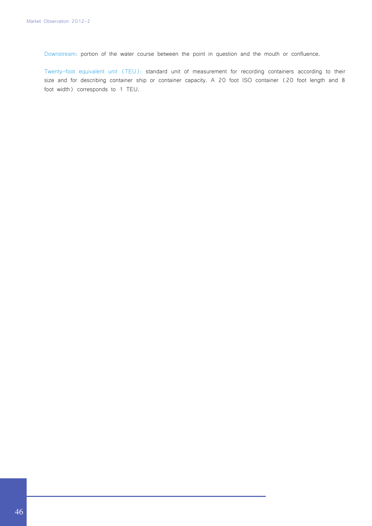Downstream: portion of the water course between the point in question and the mouth or confluence.

Twenty-foot equivalent unit (TEU): standard unit of measurement for recording containers according to their size and for describing container ship or container capacity. A 20 foot ISO container (20 foot length and 8 foot width) corresponds to 1 TEU.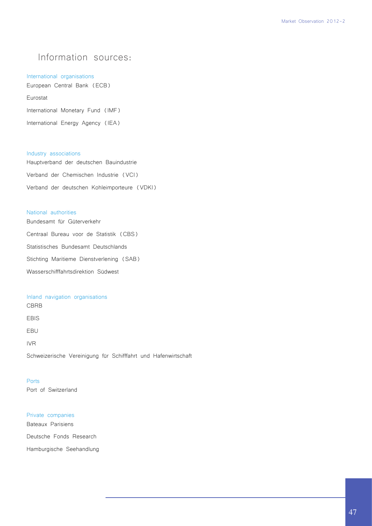# Information sources:

#### International organisations

European Central Bank (ECB)

Eurostat

International Monetary Fund (IMF)

International Energy Agency (IEA)

#### Industry associations

Hauptverband der deutschen Bauindustrie Verband der Chemischen Industrie (VCI) Verband der deutschen Kohleimporteure (VDKI)

#### National authorities

Bundesamt für Güterverkehr Centraal Bureau voor de Statistik (CBS) Statistisches Bundesamt Deutschlands Stichting Maritieme Dienstverlening (SAB) Wasserschifffahrtsdirektion Südwest

#### Inland navigation organisations

CBRB

EBIS

EBU

IVR

Schweizerische Vereinigung für Schifffahrt und Hafenwirtschaft

## Ports

Port of Switzerland

#### Private companies

Bateaux Parisiens Deutsche Fonds Research Hamburgische Seehandlung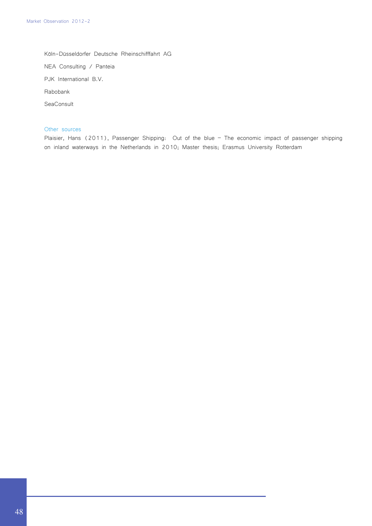Köln-Düsseldorfer Deutsche Rheinschifffahrt AG NEA Consulting / Panteia PJK International B.V. Rabobank **SeaConsult** 

#### Other sources

Plaisier, Hans (2011), Passenger Shipping: Out of the blue - The economic impact of passenger shipping on inland waterways in the Netherlands in 2010; Master thesis; Erasmus University Rotterdam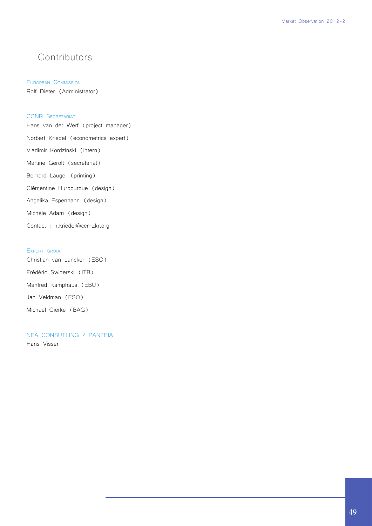# **Contributors**

#### European Commission

Rolf Dieter (Administrator)

#### CCNR SECRETARIAT

Hans van der Werf (project manager) Norbert Kriedel (econometrics expert) Vladimir Kordzinski (intern) Martine Gerolt (secretariat) Bernard Laugel (printing) Clémentine Hurbourque (design) Angelika Espenhahn (design) Michèle Adam (design) Contact : n.kriedel@ccr-zkr.org

#### EXPERT GROUP

Christian van Lancker (ESO) Frédéric Swiderski (ITB) Manfred Kamphaus (EBU) Jan Veldman (ESO) Michael Gierke (BAG)

#### NEA CONSUTLING / PANTEIA

Hans Visser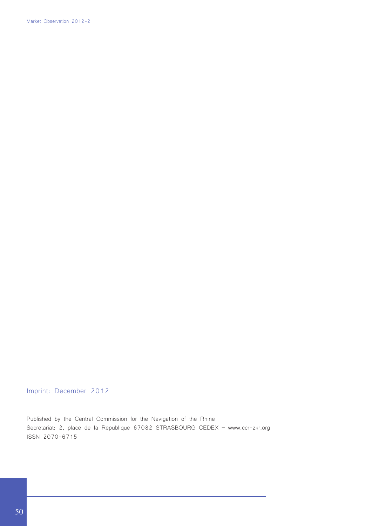Market Observation 2012-2

# Imprint: December 2012

Published by the Central Commission for the Navigation of the Rhine Secretariat: 2, place de la République 67082 STRASBOURG CEDEX – www.ccr-zkr.org ISSN 2070-6715